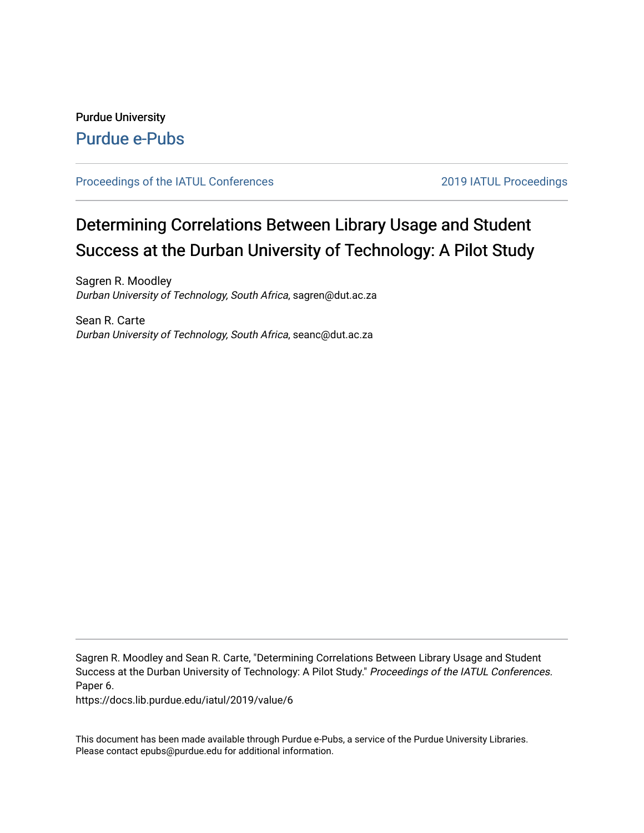## Purdue University [Purdue e-Pubs](https://docs.lib.purdue.edu/)

#### [Proceedings of the IATUL Conferences](https://docs.lib.purdue.edu/iatul) 2019 2019 IATUL Proceedings

# Determining Correlations Between Library Usage and Student Success at the Durban University of Technology: A Pilot Study

Sagren R. Moodley Durban University of Technology, South Africa, sagren@dut.ac.za

Sean R. Carte Durban University of Technology, South Africa, seanc@dut.ac.za

Sagren R. Moodley and Sean R. Carte, "Determining Correlations Between Library Usage and Student Success at the Durban University of Technology: A Pilot Study." Proceedings of the IATUL Conferences. Paper 6.

https://docs.lib.purdue.edu/iatul/2019/value/6

This document has been made available through Purdue e-Pubs, a service of the Purdue University Libraries. Please contact epubs@purdue.edu for additional information.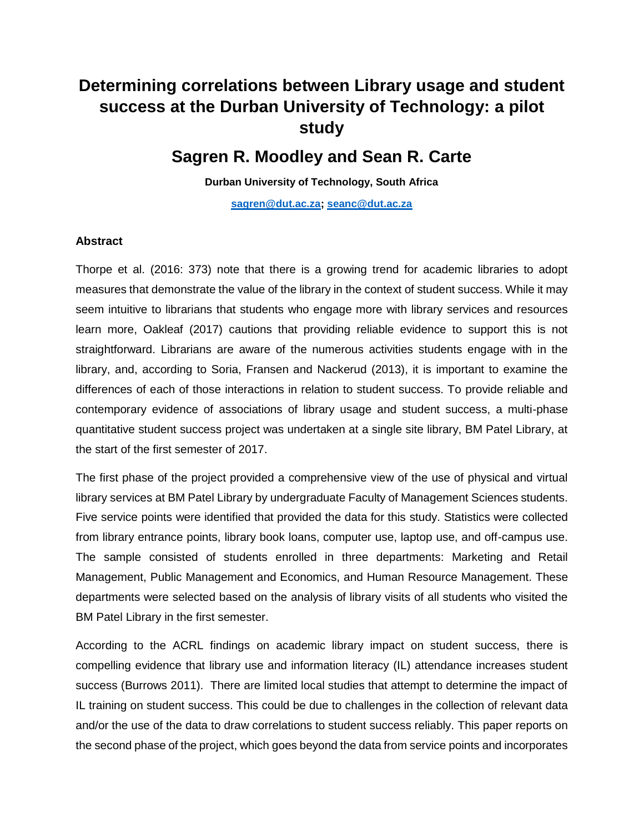## **Determining correlations between Library usage and student success at the Durban University of Technology: a pilot study**

### **Sagren R. Moodley and Sean R. Carte**

**Durban University of Technology, South Africa**

**[sagren@dut.ac.za;](mailto:sagren@dut.ac.za) [seanc@dut.ac.za](mailto:seanc@dut.ac.za)**

#### **Abstract**

Thorpe et al. (2016: 373) note that there is a growing trend for academic libraries to adopt measures that demonstrate the value of the library in the context of student success. While it may seem intuitive to librarians that students who engage more with library services and resources learn more, Oakleaf (2017) cautions that providing reliable evidence to support this is not straightforward. Librarians are aware of the numerous activities students engage with in the library, and, according to Soria, Fransen and Nackerud (2013), it is important to examine the differences of each of those interactions in relation to student success. To provide reliable and contemporary evidence of associations of library usage and student success, a multi-phase quantitative student success project was undertaken at a single site library, BM Patel Library, at the start of the first semester of 2017.

The first phase of the project provided a comprehensive view of the use of physical and virtual library services at BM Patel Library by undergraduate Faculty of Management Sciences students. Five service points were identified that provided the data for this study. Statistics were collected from library entrance points, library book loans, computer use, laptop use, and off-campus use. The sample consisted of students enrolled in three departments: Marketing and Retail Management, Public Management and Economics, and Human Resource Management. These departments were selected based on the analysis of library visits of all students who visited the BM Patel Library in the first semester.

According to the ACRL findings on academic library impact on student success, there is compelling evidence that library use and information literacy (IL) attendance increases student success (Burrows 2011). There are limited local studies that attempt to determine the impact of IL training on student success. This could be due to challenges in the collection of relevant data and/or the use of the data to draw correlations to student success reliably. This paper reports on the second phase of the project, which goes beyond the data from service points and incorporates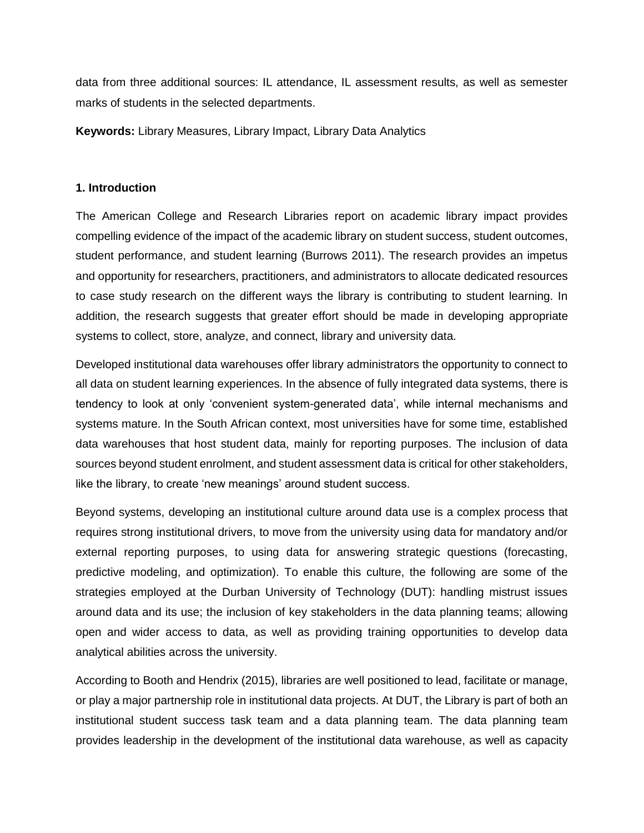data from three additional sources: IL attendance, IL assessment results, as well as semester marks of students in the selected departments.

**Keywords:** Library Measures, Library Impact, Library Data Analytics

#### **1. Introduction**

The American College and Research Libraries report on academic library impact provides compelling evidence of the impact of the academic library on student success, student outcomes, student performance, and student learning (Burrows 2011). The research provides an impetus and opportunity for researchers, practitioners, and administrators to allocate dedicated resources to case study research on the different ways the library is contributing to student learning. In addition, the research suggests that greater effort should be made in developing appropriate systems to collect, store, analyze, and connect, library and university data.

Developed institutional data warehouses offer library administrators the opportunity to connect to all data on student learning experiences. In the absence of fully integrated data systems, there is tendency to look at only 'convenient system-generated data', while internal mechanisms and systems mature. In the South African context, most universities have for some time, established data warehouses that host student data, mainly for reporting purposes. The inclusion of data sources beyond student enrolment, and student assessment data is critical for other stakeholders, like the library, to create 'new meanings' around student success.

Beyond systems, developing an institutional culture around data use is a complex process that requires strong institutional drivers, to move from the university using data for mandatory and/or external reporting purposes, to using data for answering strategic questions (forecasting, predictive modeling, and optimization). To enable this culture, the following are some of the strategies employed at the Durban University of Technology (DUT): handling mistrust issues around data and its use; the inclusion of key stakeholders in the data planning teams; allowing open and wider access to data, as well as providing training opportunities to develop data analytical abilities across the university.

According to Booth and Hendrix (2015), libraries are well positioned to lead, facilitate or manage, or play a major partnership role in institutional data projects. At DUT, the Library is part of both an institutional student success task team and a data planning team. The data planning team provides leadership in the development of the institutional data warehouse, as well as capacity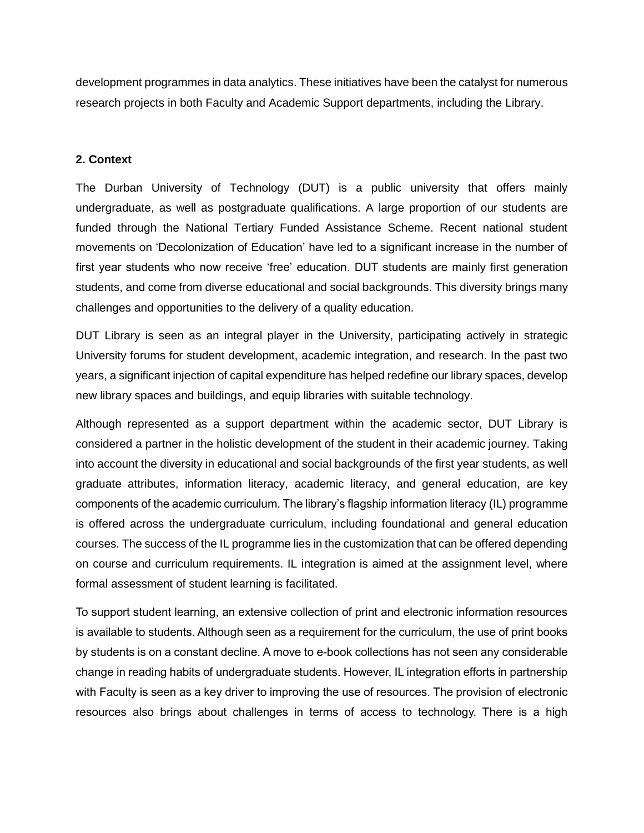development programmes in data analytics. These initiatives have been the catalyst for numerous research projects in both Faculty and Academic Support departments, including the Library.

#### **2. Context**

The Durban University of Technology (DUT) is a public university that offers mainly undergraduate, as well as postgraduate qualifications. A large proportion of our students are funded through the National Tertiary Funded Assistance Scheme. Recent national student movements on 'Decolonization of Education' have led to a significant increase in the number of first year students who now receive 'free' education. DUT students are mainly first generation students, and come from diverse educational and social backgrounds. This diversity brings many challenges and opportunities to the delivery of a quality education.

DUT Library is seen as an integral player in the University, participating actively in strategic University forums for student development, academic integration, and research. In the past two years, a significant injection of capital expenditure has helped redefine our library spaces, develop new library spaces and buildings, and equip libraries with suitable technology.

Although represented as a support department within the academic sector, DUT Library is considered a partner in the holistic development of the student in their academic journey. Taking into account the diversity in educational and social backgrounds of the first year students, as well graduate attributes, information literacy, academic literacy, and general education, are key components of the academic curriculum. The library's flagship information literacy (IL) programme is offered across the undergraduate curriculum, including foundational and general education courses. The success of the IL programme lies in the customization that can be offered depending on course and curriculum requirements. IL integration is aimed at the assignment level, where formal assessment of student learning is facilitated.

To support student learning, an extensive collection of print and electronic information resources is available to students. Although seen as a requirement for the curriculum, the use of print books by students is on a constant decline. A move to e-book collections has not seen any considerable change in reading habits of undergraduate students. However, IL integration efforts in partnership with Faculty is seen as a key driver to improving the use of resources. The provision of electronic resources also brings about challenges in terms of access to technology. There is a high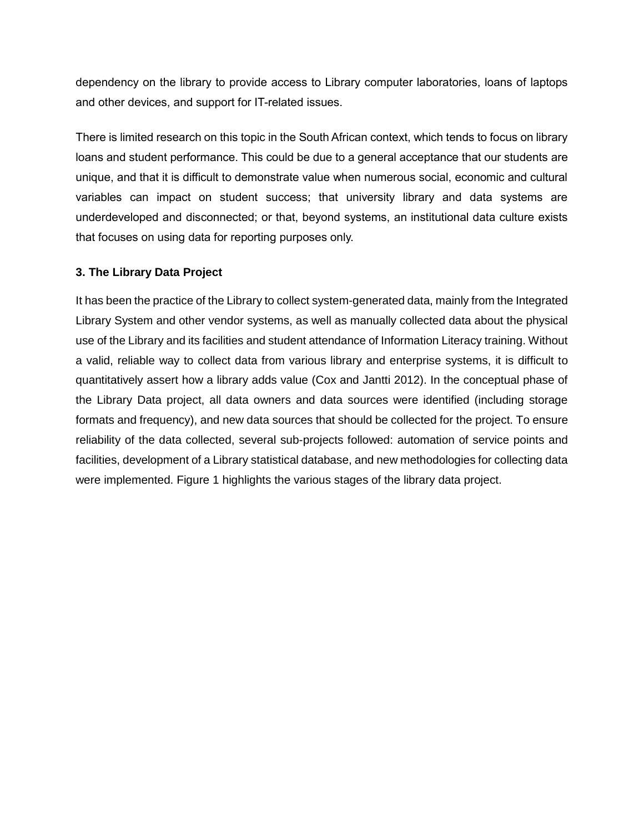dependency on the library to provide access to Library computer laboratories, loans of laptops and other devices, and support for IT-related issues.

There is limited research on this topic in the South African context, which tends to focus on library loans and student performance. This could be due to a general acceptance that our students are unique, and that it is difficult to demonstrate value when numerous social, economic and cultural variables can impact on student success; that university library and data systems are underdeveloped and disconnected; or that, beyond systems, an institutional data culture exists that focuses on using data for reporting purposes only.

#### **3. The Library Data Project**

It has been the practice of the Library to collect system-generated data, mainly from the Integrated Library System and other vendor systems, as well as manually collected data about the physical use of the Library and its facilities and student attendance of Information Literacy training. Without a valid, reliable way to collect data from various library and enterprise systems, it is difficult to quantitatively assert how a library adds value (Cox and Jantti 2012). In the conceptual phase of the Library Data project, all data owners and data sources were identified (including storage formats and frequency), and new data sources that should be collected for the project. To ensure reliability of the data collected, several sub-projects followed: automation of service points and facilities, development of a Library statistical database, and new methodologies for collecting data were implemented. Figure 1 highlights the various stages of the library data project.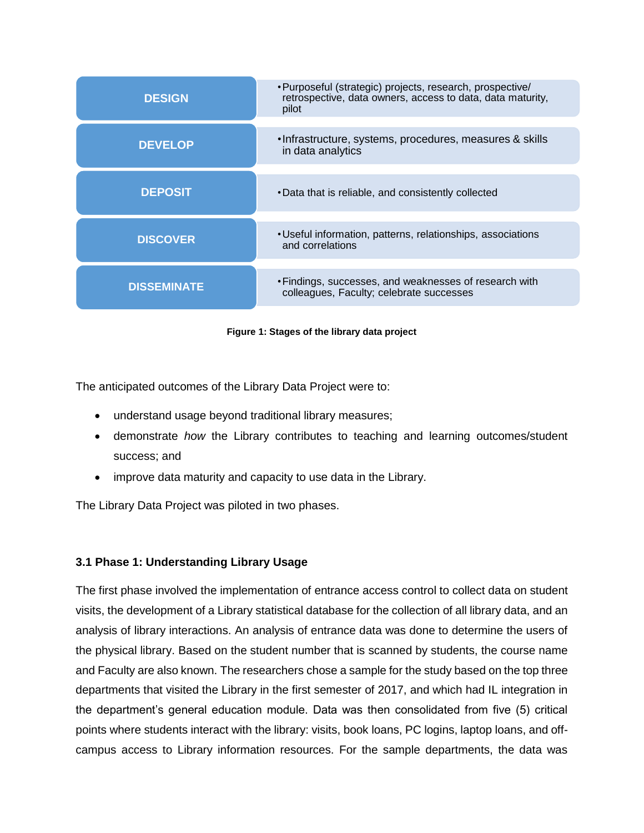| <b>DESIGN</b>      | • Purposeful (strategic) projects, research, prospective/<br>retrospective, data owners, access to data, data maturity,<br>pilot |  |  |
|--------------------|----------------------------------------------------------------------------------------------------------------------------------|--|--|
| <b>DEVELOP</b>     | . Infrastructure, systems, procedures, measures & skills<br>in data analytics                                                    |  |  |
| <b>DEPOSIT</b>     | • Data that is reliable, and consistently collected                                                                              |  |  |
| <b>DISCOVER</b>    | • Useful information, patterns, relationships, associations<br>and correlations                                                  |  |  |
| <b>DISSEMINATE</b> | • Findings, successes, and weaknesses of research with<br>colleagues, Faculty; celebrate successes                               |  |  |

**Figure 1: Stages of the library data project**

The anticipated outcomes of the Library Data Project were to:

- understand usage beyond traditional library measures;
- demonstrate *how* the Library contributes to teaching and learning outcomes/student success; and
- improve data maturity and capacity to use data in the Library.

The Library Data Project was piloted in two phases.

#### **3.1 Phase 1: Understanding Library Usage**

The first phase involved the implementation of entrance access control to collect data on student visits, the development of a Library statistical database for the collection of all library data, and an analysis of library interactions. An analysis of entrance data was done to determine the users of the physical library. Based on the student number that is scanned by students, the course name and Faculty are also known. The researchers chose a sample for the study based on the top three departments that visited the Library in the first semester of 2017, and which had IL integration in the department's general education module. Data was then consolidated from five (5) critical points where students interact with the library: visits, book loans, PC logins, laptop loans, and offcampus access to Library information resources. For the sample departments, the data was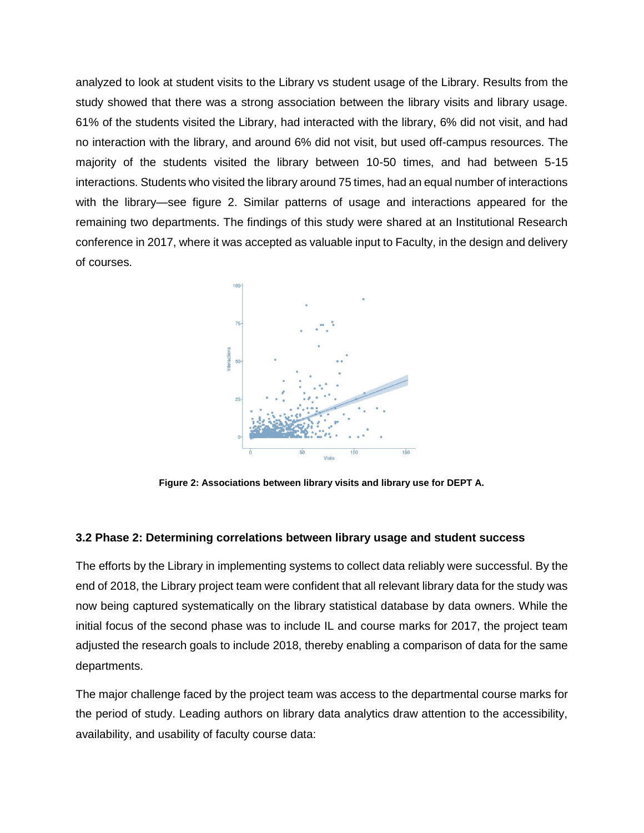analyzed to look at student visits to the Library vs student usage of the Library. Results from the study showed that there was a strong association between the library visits and library usage. 61% of the students visited the Library, had interacted with the library, 6% did not visit, and had no interaction with the library, and around 6% did not visit, but used off-campus resources. The majority of the students visited the library between 10-50 times, and had between 5-15 interactions. Students who visited the library around 75 times, had an equal number of interactions with the library—see figure 2. Similar patterns of usage and interactions appeared for the remaining two departments. The findings of this study were shared at an Institutional Research conference in 2017, where it was accepted as valuable input to Faculty, in the design and delivery of courses.



**Figure 2: Associations between library visits and library use for DEPT A.**

#### **3.2 Phase 2: Determining correlations between library usage and student success**

The efforts by the Library in implementing systems to collect data reliably were successful. By the end of 2018, the Library project team were confident that all relevant library data for the study was now being captured systematically on the library statistical database by data owners. While the initial focus of the second phase was to include IL and course marks for 2017, the project team adjusted the research goals to include 2018, thereby enabling a comparison of data for the same departments.

The major challenge faced by the project team was access to the departmental course marks for the period of study. Leading authors on library data analytics draw attention to the accessibility, availability, and usability of faculty course data: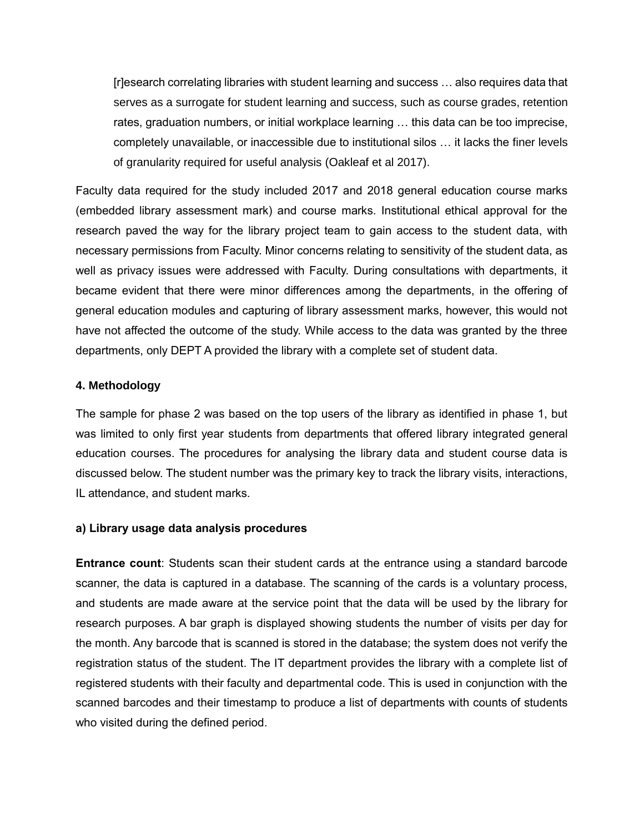[r]esearch correlating libraries with student learning and success … also requires data that serves as a surrogate for student learning and success, such as course grades, retention rates, graduation numbers, or initial workplace learning … this data can be too imprecise, completely unavailable, or inaccessible due to institutional silos … it lacks the finer levels of granularity required for useful analysis (Oakleaf et al 2017).

Faculty data required for the study included 2017 and 2018 general education course marks (embedded library assessment mark) and course marks. Institutional ethical approval for the research paved the way for the library project team to gain access to the student data, with necessary permissions from Faculty. Minor concerns relating to sensitivity of the student data, as well as privacy issues were addressed with Faculty. During consultations with departments, it became evident that there were minor differences among the departments, in the offering of general education modules and capturing of library assessment marks, however, this would not have not affected the outcome of the study. While access to the data was granted by the three departments, only DEPT A provided the library with a complete set of student data.

#### **4. Methodology**

The sample for phase 2 was based on the top users of the library as identified in phase 1, but was limited to only first year students from departments that offered library integrated general education courses. The procedures for analysing the library data and student course data is discussed below. The student number was the primary key to track the library visits, interactions, IL attendance, and student marks.

#### **a) Library usage data analysis procedures**

**Entrance count**: Students scan their student cards at the entrance using a standard barcode scanner, the data is captured in a database. The scanning of the cards is a voluntary process, and students are made aware at the service point that the data will be used by the library for research purposes. A bar graph is displayed showing students the number of visits per day for the month. Any barcode that is scanned is stored in the database; the system does not verify the registration status of the student. The IT department provides the library with a complete list of registered students with their faculty and departmental code. This is used in conjunction with the scanned barcodes and their timestamp to produce a list of departments with counts of students who visited during the defined period.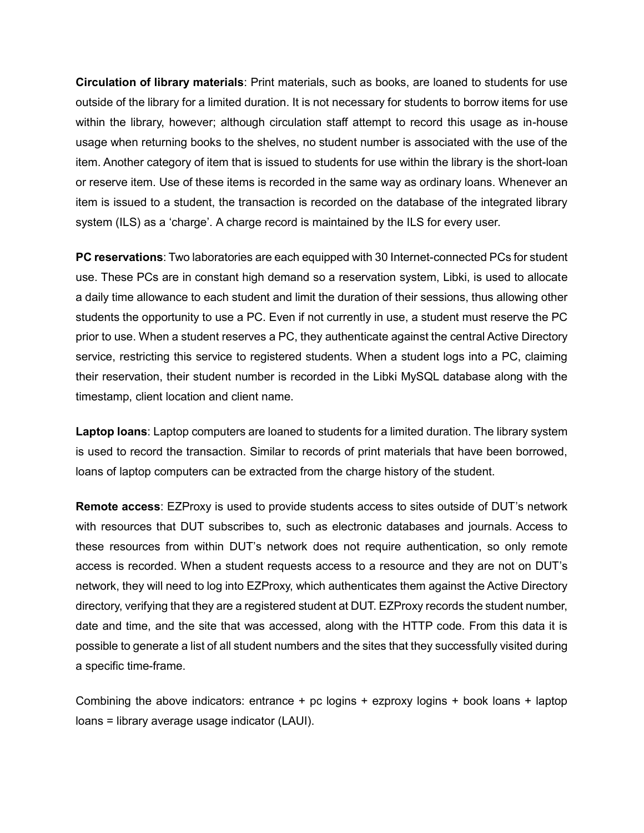**Circulation of library materials**: Print materials, such as books, are loaned to students for use outside of the library for a limited duration. It is not necessary for students to borrow items for use within the library, however; although circulation staff attempt to record this usage as in-house usage when returning books to the shelves, no student number is associated with the use of the item. Another category of item that is issued to students for use within the library is the short-loan or reserve item. Use of these items is recorded in the same way as ordinary loans. Whenever an item is issued to a student, the transaction is recorded on the database of the integrated library system (ILS) as a 'charge'. A charge record is maintained by the ILS for every user.

**PC reservations**: Two laboratories are each equipped with 30 Internet-connected PCs for student use. These PCs are in constant high demand so a reservation system, Libki, is used to allocate a daily time allowance to each student and limit the duration of their sessions, thus allowing other students the opportunity to use a PC. Even if not currently in use, a student must reserve the PC prior to use. When a student reserves a PC, they authenticate against the central Active Directory service, restricting this service to registered students. When a student logs into a PC, claiming their reservation, their student number is recorded in the Libki MySQL database along with the timestamp, client location and client name.

**Laptop loans**: Laptop computers are loaned to students for a limited duration. The library system is used to record the transaction. Similar to records of print materials that have been borrowed, loans of laptop computers can be extracted from the charge history of the student.

**Remote access**: EZProxy is used to provide students access to sites outside of DUT's network with resources that DUT subscribes to, such as electronic databases and journals. Access to these resources from within DUT's network does not require authentication, so only remote access is recorded. When a student requests access to a resource and they are not on DUT's network, they will need to log into EZProxy, which authenticates them against the Active Directory directory, verifying that they are a registered student at DUT. EZProxy records the student number, date and time, and the site that was accessed, along with the HTTP code. From this data it is possible to generate a list of all student numbers and the sites that they successfully visited during a specific time-frame.

Combining the above indicators: entrance + pc logins + ezproxy logins + book loans + laptop loans = library average usage indicator (LAUI).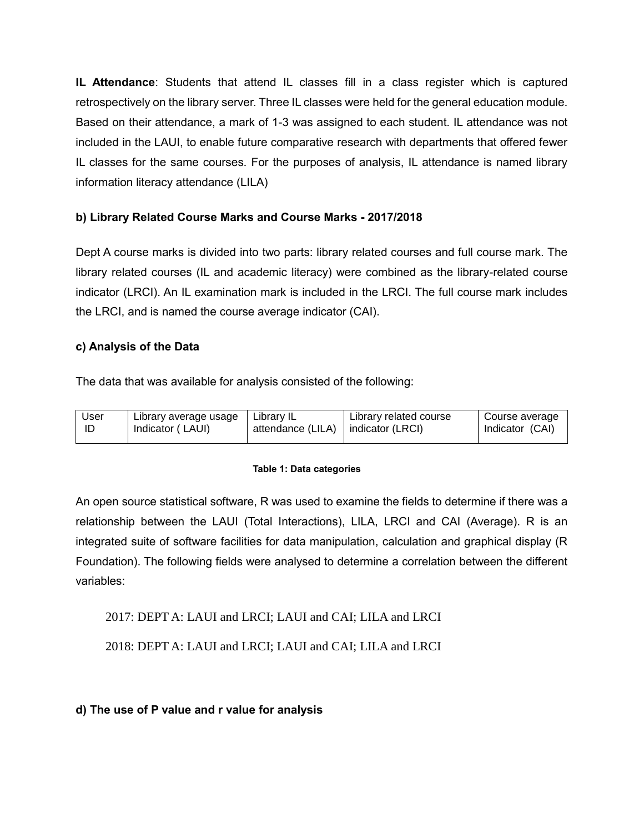**IL Attendance**: Students that attend IL classes fill in a class register which is captured retrospectively on the library server. Three IL classes were held for the general education module. Based on their attendance, a mark of 1-3 was assigned to each student. IL attendance was not included in the LAUI, to enable future comparative research with departments that offered fewer IL classes for the same courses. For the purposes of analysis, IL attendance is named library information literacy attendance (LILA)

#### **b) Library Related Course Marks and Course Marks - 2017/2018**

Dept A course marks is divided into two parts: library related courses and full course mark. The library related courses (IL and academic literacy) were combined as the library-related course indicator (LRCI). An IL examination mark is included in the LRCI. The full course mark includes the LRCI, and is named the course average indicator (CAI).

#### **c) Analysis of the Data**

The data that was available for analysis consisted of the following:

| User | Library average usage | Library IL        | Library related course | Course average  |
|------|-----------------------|-------------------|------------------------|-----------------|
| ID   | Indicator (LAUI)      | attendance (LILA) | indicator (LRCI)       | Indicator (CAI) |

#### **Table 1: Data categories**

An open source statistical software, R was used to examine the fields to determine if there was a relationship between the LAUI (Total Interactions), LILA, LRCI and CAI (Average). R is an integrated suite of software facilities for data manipulation, calculation and graphical display (R Foundation). The following fields were analysed to determine a correlation between the different variables:

2017: DEPT A: LAUI and LRCI; LAUI and CAI; LILA and LRCI

2018: DEPT A: LAUI and LRCI; LAUI and CAI; LILA and LRCI

**d) The use of P value and r value for analysis**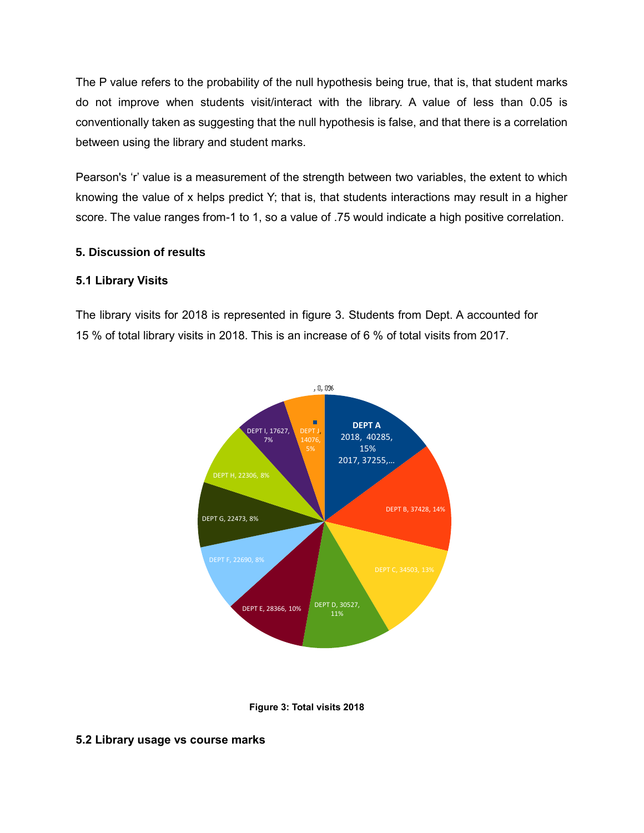The P value refers to the probability of the null hypothesis being true, that is, that student marks do not improve when students visit/interact with the library. A value of less than 0.05 is conventionally taken as suggesting that the null hypothesis is false, and that there is a correlation between using the library and student marks.

Pearson's 'r' value is a measurement of the strength between two variables, the extent to which knowing the value of x helps predict Y; that is, that students interactions may result in a higher score. The value ranges from-1 to 1, so a value of .75 would indicate a high positive correlation.

#### **5. Discussion of results**

#### **5.1 Library Visits**

The library visits for 2018 is represented in figure 3. Students from Dept. A accounted for 15 % of total library visits in 2018. This is an increase of 6 % of total visits from 2017.





#### **5.2 Library usage vs course marks**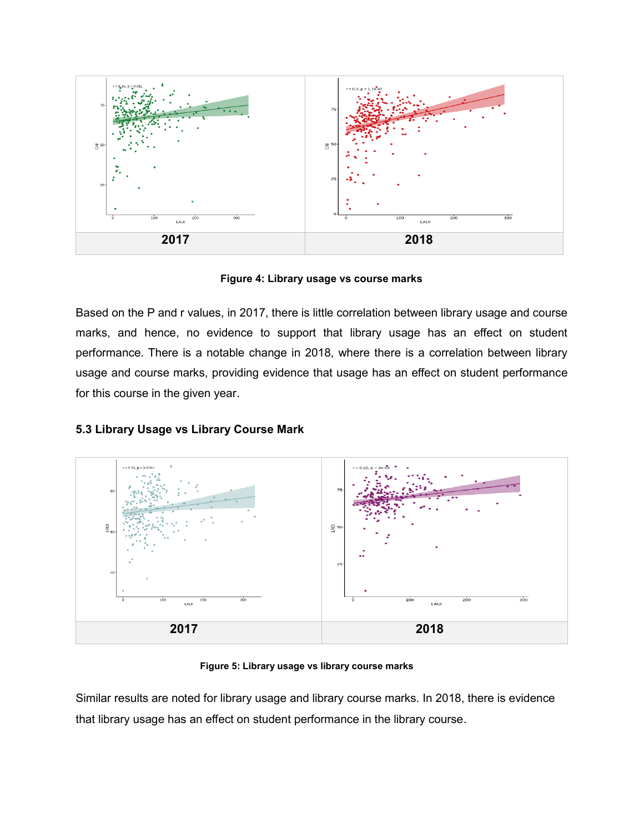

**Figure 4: Library usage vs course marks**

Based on the P and r values, in 2017, there is little correlation between library usage and course marks, and hence, no evidence to support that library usage has an effect on student performance. There is a notable change in 2018, where there is a correlation between library usage and course marks, providing evidence that usage has an effect on student performance for this course in the given year.

#### **5.3 Library Usage vs Library Course Mark**



**Figure 5: Library usage vs library course marks**

Similar results are noted for library usage and library course marks. In 2018, there is evidence that library usage has an effect on student performance in the library course.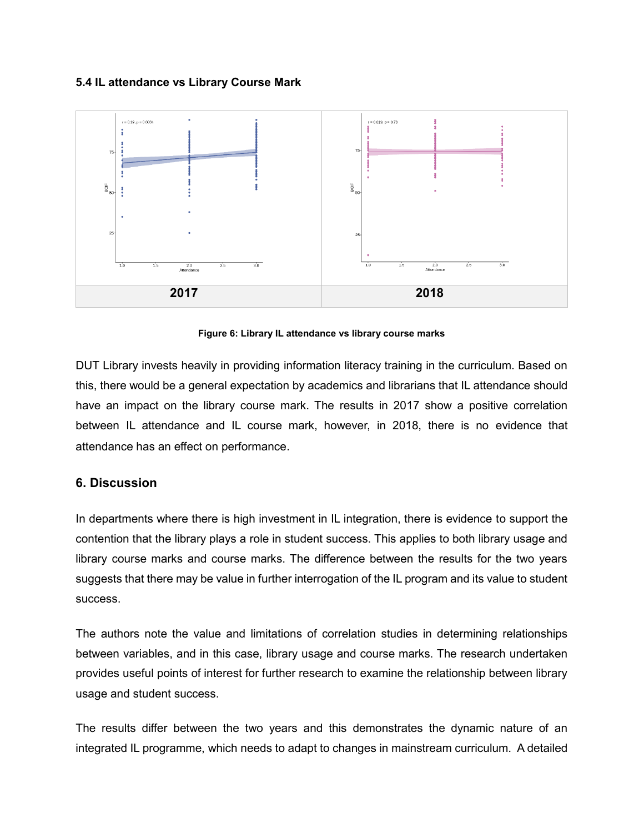#### **5.4 IL attendance vs Library Course Mark**



**Figure 6: Library IL attendance vs library course marks**

DUT Library invests heavily in providing information literacy training in the curriculum. Based on this, there would be a general expectation by academics and librarians that IL attendance should have an impact on the library course mark. The results in 2017 show a positive correlation between IL attendance and IL course mark, however, in 2018, there is no evidence that attendance has an effect on performance.

#### **6. Discussion**

In departments where there is high investment in IL integration, there is evidence to support the contention that the library plays a role in student success. This applies to both library usage and library course marks and course marks. The difference between the results for the two years suggests that there may be value in further interrogation of the IL program and its value to student success.

The authors note the value and limitations of correlation studies in determining relationships between variables, and in this case, library usage and course marks. The research undertaken provides useful points of interest for further research to examine the relationship between library usage and student success.

The results differ between the two years and this demonstrates the dynamic nature of an integrated IL programme, which needs to adapt to changes in mainstream curriculum. A detailed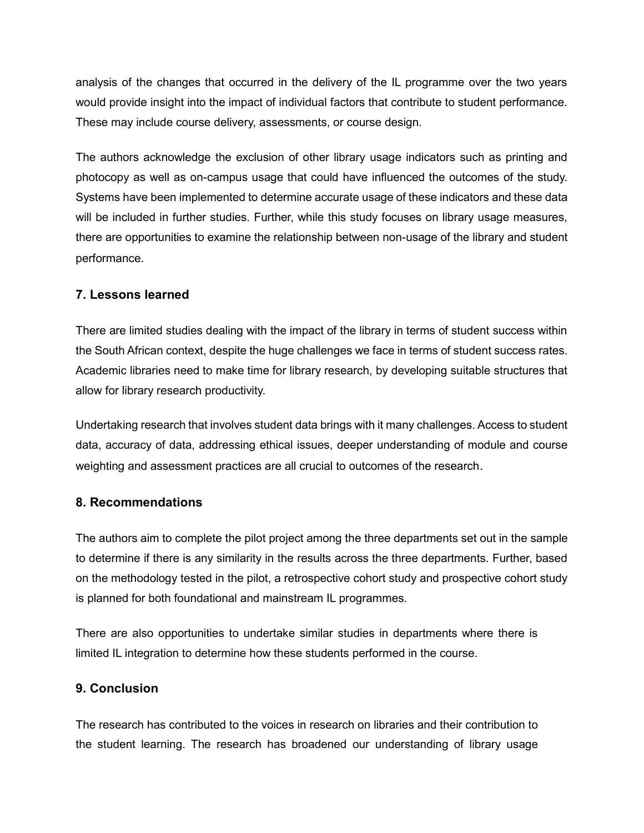analysis of the changes that occurred in the delivery of the IL programme over the two years would provide insight into the impact of individual factors that contribute to student performance. These may include course delivery, assessments, or course design.

The authors acknowledge the exclusion of other library usage indicators such as printing and photocopy as well as on-campus usage that could have influenced the outcomes of the study. Systems have been implemented to determine accurate usage of these indicators and these data will be included in further studies. Further, while this study focuses on library usage measures, there are opportunities to examine the relationship between non-usage of the library and student performance.

#### **7. Lessons learned**

There are limited studies dealing with the impact of the library in terms of student success within the South African context, despite the huge challenges we face in terms of student success rates. Academic libraries need to make time for library research, by developing suitable structures that allow for library research productivity.

Undertaking research that involves student data brings with it many challenges. Access to student data, accuracy of data, addressing ethical issues, deeper understanding of module and course weighting and assessment practices are all crucial to outcomes of the research.

#### **8. Recommendations**

The authors aim to complete the pilot project among the three departments set out in the sample to determine if there is any similarity in the results across the three departments. Further, based on the methodology tested in the pilot, a retrospective cohort study and prospective cohort study is planned for both foundational and mainstream IL programmes.

There are also opportunities to undertake similar studies in departments where there is limited IL integration to determine how these students performed in the course.

#### **9. Conclusion**

The research has contributed to the voices in research on libraries and their contribution to the student learning. The research has broadened our understanding of library usage